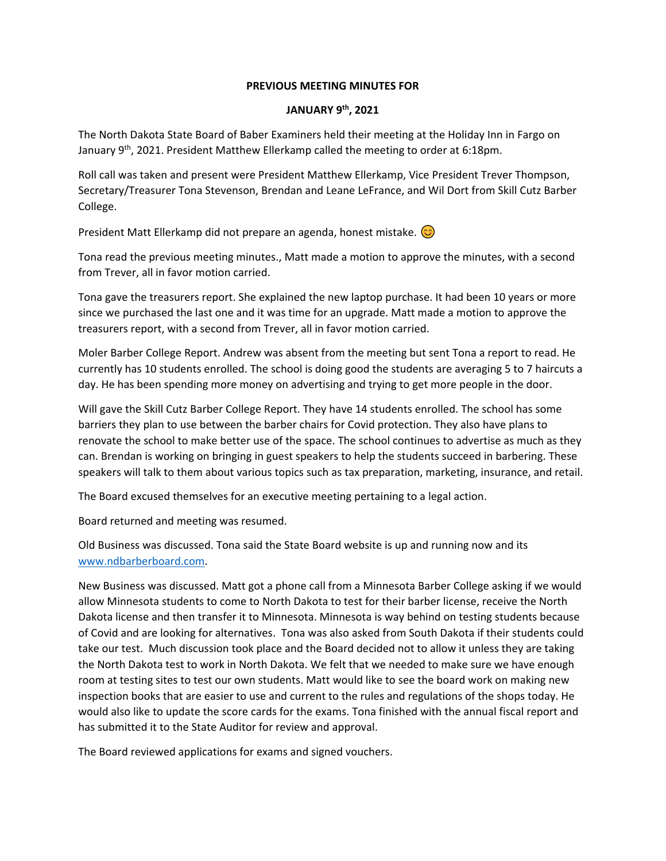## **PREVIOUS MEETING MINUTES FOR**

## **JANUARY 9th, 2021**

The North Dakota State Board of Baber Examiners held their meeting at the Holiday Inn in Fargo on January 9<sup>th</sup>, 2021. President Matthew Ellerkamp called the meeting to order at 6:18pm.

Roll call was taken and present were President Matthew Ellerkamp, Vice President Trever Thompson, Secretary/Treasurer Tona Stevenson, Brendan and Leane LeFrance, and Wil Dort from Skill Cutz Barber College.

President Matt Ellerkamp did not prepare an agenda, honest mistake.  $\odot$ 

Tona read the previous meeting minutes., Matt made a motion to approve the minutes, with a second from Trever, all in favor motion carried.

Tona gave the treasurers report. She explained the new laptop purchase. It had been 10 years or more since we purchased the last one and it was time for an upgrade. Matt made a motion to approve the treasurers report, with a second from Trever, all in favor motion carried.

Moler Barber College Report. Andrew was absent from the meeting but sent Tona a report to read. He currently has 10 students enrolled. The school is doing good the students are averaging 5 to 7 haircuts a day. He has been spending more money on advertising and trying to get more people in the door.

Will gave the Skill Cutz Barber College Report. They have 14 students enrolled. The school has some barriers they plan to use between the barber chairs for Covid protection. They also have plans to renovate the school to make better use of the space. The school continues to advertise as much as they can. Brendan is working on bringing in guest speakers to help the students succeed in barbering. These speakers will talk to them about various topics such as tax preparation, marketing, insurance, and retail.

The Board excused themselves for an executive meeting pertaining to a legal action.

Board returned and meeting was resumed.

Old Business was discussed. Tona said the State Board website is up and running now and its www.ndbarberboard.com.

New Business was discussed. Matt got a phone call from a Minnesota Barber College asking if we would allow Minnesota students to come to North Dakota to test for their barber license, receive the North Dakota license and then transfer it to Minnesota. Minnesota is way behind on testing students because of Covid and are looking for alternatives. Tona was also asked from South Dakota if their students could take our test. Much discussion took place and the Board decided not to allow it unless they are taking the North Dakota test to work in North Dakota. We felt that we needed to make sure we have enough room at testing sites to test our own students. Matt would like to see the board work on making new inspection books that are easier to use and current to the rules and regulations of the shops today. He would also like to update the score cards for the exams. Tona finished with the annual fiscal report and has submitted it to the State Auditor for review and approval.

The Board reviewed applications for exams and signed vouchers.